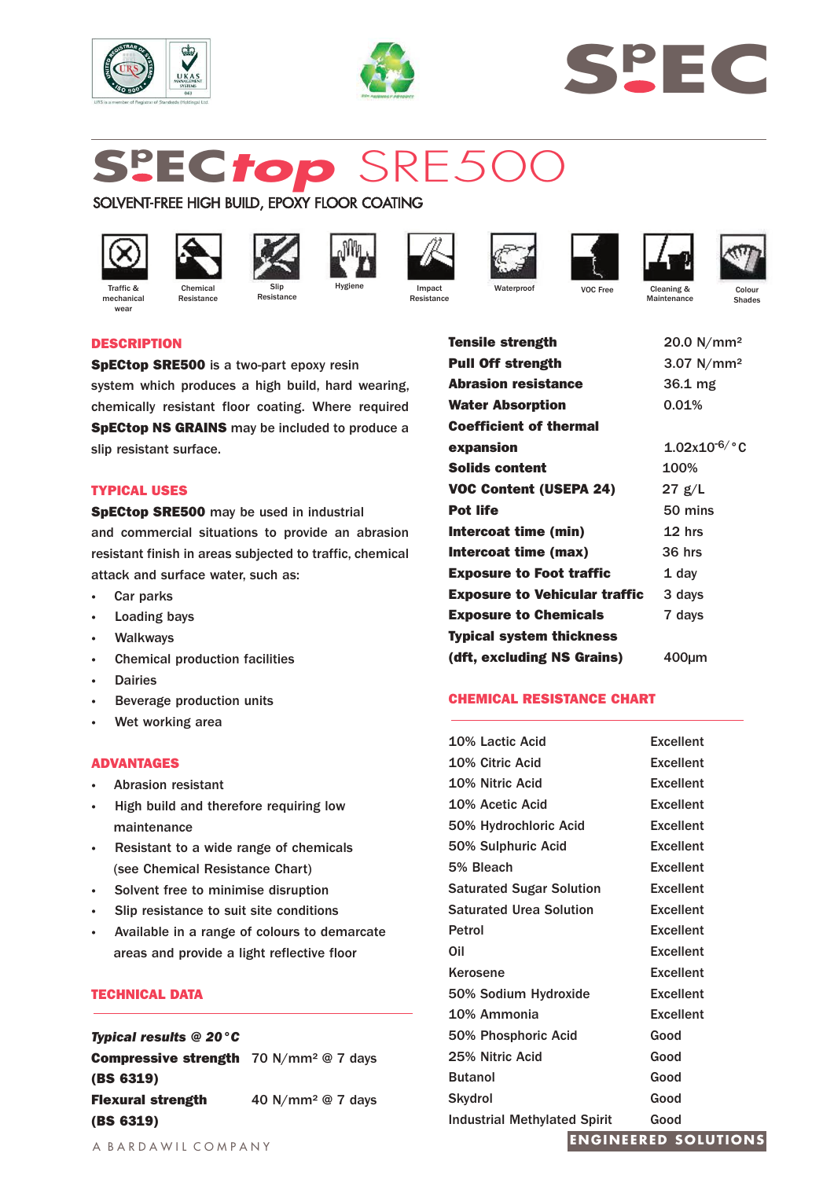





# **Sp EC***top* SRE500

SOLVENT-FREE HIGH BUILD, EPOXY FLOOR COATING



mechanica wear



Resistance

















VOC Free Cleaning & Maintenance

Colour Shades

# **DESCRIPTION**

**SpECtop SRE500** is a two-part epoxy resin

system which produces a high build, hard wearing, chemically resistant floor coating. Where required **SpECtop NS GRAINS** may be included to produce a slip resistant surface.

## **TYPICAL USES**

**SpECtop SRE500** may be used in industrial and commercial situations to provide an abrasion resistant finish in areas subjected to traffic, chemical attack and surface water, such as:

- **·** Car parks
- **·** Loading bays
- **·** Walkways
- **·** Chemical production facilities
- **·** Dairies
- **·** Beverage production units
- **·** Wet working area

## **ADVANTAGES**

- **·** Abrasion resistant
- **·** High build and therefore requiring low maintenance
- **·** Resistant to a wide range of chemicals (see Chemical Resistance Chart)
- **·** Solvent free to minimise disruption
- **·** Slip resistance to suit site conditions
- **·** Available in a range of colours to demarcate areas and provide a light reflective floor

## **TECHNICAL DATA**

*Typical results @ 20°C* **Compressive strength** 70 N/mm² @ 7 days **(BS 6319) Flexural strength** 40 N/mm<sup>2</sup> @ 7 days **(BS 6319)**

**Tensile strength** 20.0 N/mm<sup>2</sup> Pull Off strength 3.07 N/mm<sup>2</sup> **Abrasion resistance** 36.1 mg Water Absorption **0.01% Coefficient of thermal expansion Solids content VOC Content (USEPA 24) Pot life Intercoat time (min) Intercoat time (max) Exposure to Foot traffic** 1.02x10-6/°C 100% 27 g/L 50 mins 12 hrs 36 hrs 1 day **Exposure to Vehicular traffic** 3 days **Exposure to Chemicals** 7 days **Typical system thickness (dft, excluding NS Grains)** 400µm

## **CHEMICAL RESISTANCE CHART**

| <b>Industrial Methylated Spirit</b><br><b>RAIG</b><br>$\cdots$ | Good             |
|----------------------------------------------------------------|------------------|
| Skydrol                                                        | Good             |
| <b>Butanol</b>                                                 | Good             |
| 25% Nitric Acid                                                | Good             |
| 50% Phosphoric Acid                                            | Good             |
| 10% Ammonia                                                    | <b>Excellent</b> |
| 50% Sodium Hydroxide                                           | <b>Excellent</b> |
| Kerosene                                                       | <b>Excellent</b> |
| Oil                                                            | <b>Excellent</b> |
| Petrol                                                         | <b>Excellent</b> |
| <b>Saturated Urea Solution</b>                                 | <b>Excellent</b> |
| <b>Saturated Sugar Solution</b>                                | <b>Excellent</b> |
| 5% Bleach                                                      | <b>Excellent</b> |
| 50% Sulphuric Acid                                             | <b>Excellent</b> |
| 50% Hydrochloric Acid                                          | <b>Excellent</b> |
| 10% Acetic Acid                                                | <b>Excellent</b> |
| 10% Nitric Acid                                                | <b>Excellent</b> |
| 10% Citric Acid                                                | <b>Excellent</b> |
| 10% Lactic Acid                                                | <b>Excellent</b> |
|                                                                |                  |

## **ENGINEERED SOLUTIONS**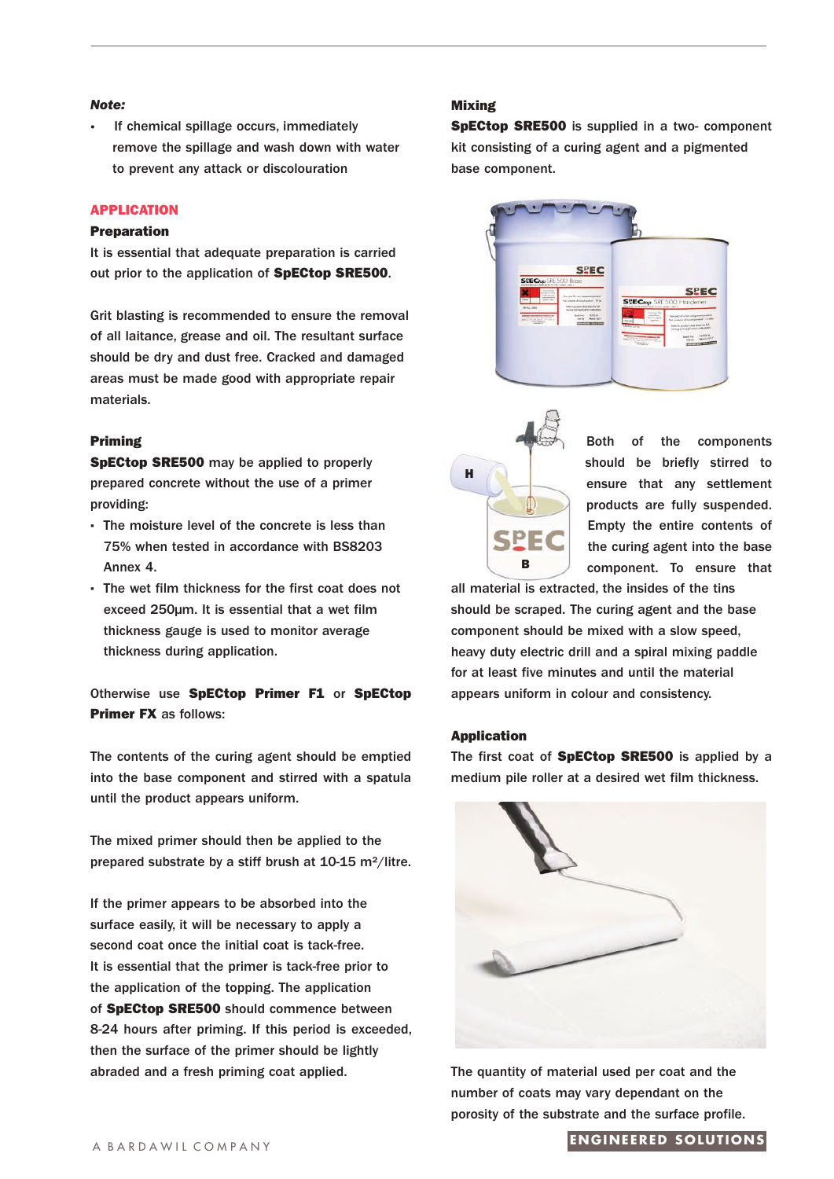#### *Note:*

**·** If chemical spillage occurs, immediately remove the spillage and wash down with water to prevent any attack or discolouration

## **APPLICATION**

#### **Preparation**

It is essential that adequate preparation is carried out prior to the application of **SpECtop SRE500**.

Grit blasting is recommended to ensure the removal of all laitance, grease and oil. The resultant surface should be dry and dust free. Cracked and damaged areas must be made good with appropriate repair materials.

### **Priming**

**SpECtop SRE500** may be applied to properly prepared concrete without the use of a primer providing:

- **·** The moisture level of the concrete is less than 75% when tested in accordance with BS8203 Annex 4.
- **·** The wet film thickness for the first coat does not exceed 250µm. It is essential that a wet film thickness gauge is used to monitor average thickness during application.

Otherwise use **SpECtop Primer F1** or **SpECtop Primer FX** as follows:

The contents of the curing agent should be emptied into the base component and stirred with a spatula until the product appears uniform.

The mixed primer should then be applied to the prepared substrate by a stiff brush at 10-15 m²/litre.

If the primer appears to be absorbed into the surface easily, it will be necessary to apply a second coat once the initial coat is tack-free. It is essential that the primer is tack-free prior to the application of the topping. The application of **SpECtop SRE500** should commence between 8-24 hours after priming. If this period is exceeded, then the surface of the primer should be lightly abraded and a fresh priming coat applied.

## **Mixing**

**SpECtop SRE500** is supplied in a two- component kit consisting of a curing agent and a pigmented base component.





Both of the components should be briefly stirred to ensure that any settlement products are fully suspended. Empty the entire contents of the curing agent into the base component. To ensure that

all material is extracted, the insides of the tins should be scraped. The curing agent and the base component should be mixed with a slow speed, heavy duty electric drill and a spiral mixing paddle for at least five minutes and until the material appears uniform in colour and consistency.

#### **Application**

The first coat of **SpECtop SRE500** is applied by a medium pile roller at a desired wet film thickness.



The quantity of material used per coat and the number of coats may vary dependant on the porosity of the substrate and the surface profile.

#### **ENGINEERED SOLUTIONS**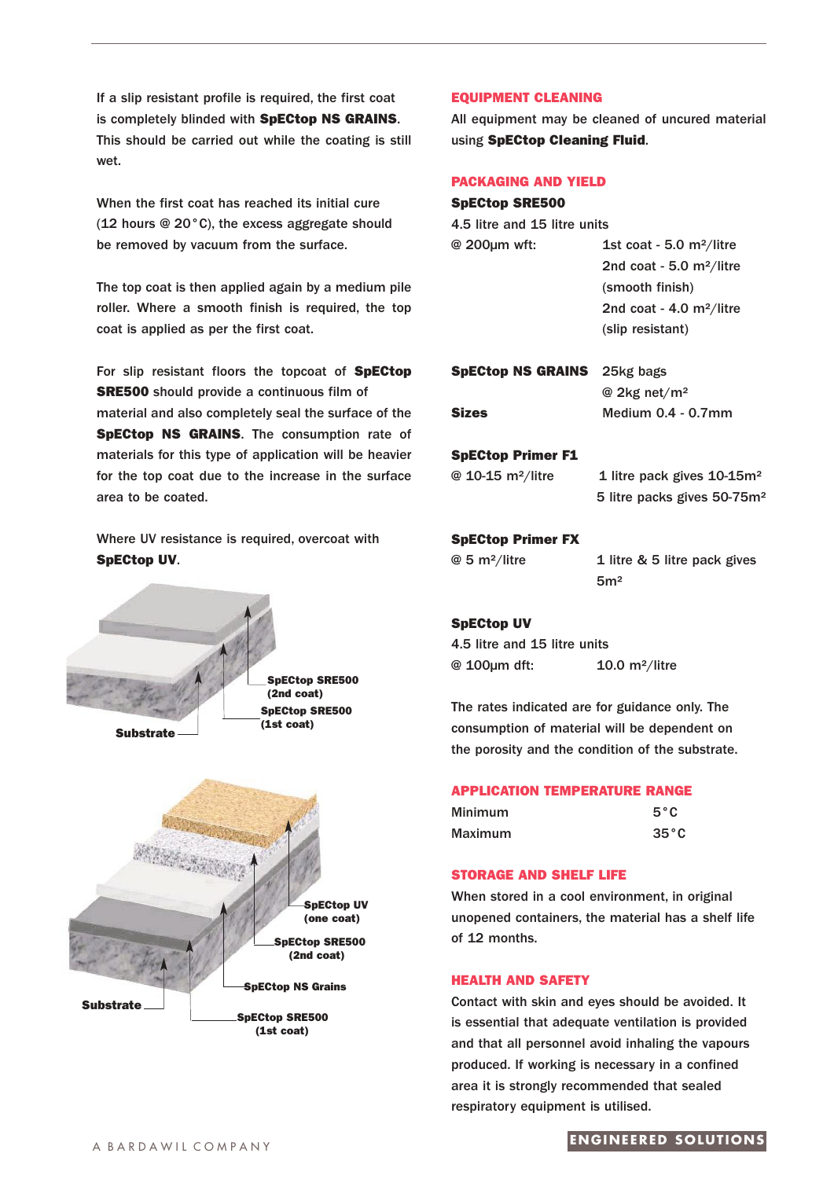If a slip resistant profile is required, the first coat is completely blinded with **SpECtop NS GRAINS**. This should be carried out while the coating is still wet.

When the first coat has reached its initial cure (12 hours @ 20°C), the excess aggregate should be removed by vacuum from the surface.

The top coat is then applied again by a medium pile roller. Where a smooth finish is required, the top coat is applied as per the first coat.

For slip resistant floors the topcoat of **SpECtop SRE500** should provide a continuous film of material and also completely seal the surface of the **SpECtop NS GRAINS**. The consumption rate of materials for this type of application will be heavier for the top coat due to the increase in the surface area to be coated.

Where UV resistance is required, overcoat with **SpECtop UV**.





#### **EQUIPMENT CLEANING**

All equipment may be cleaned of uncured material using **SpECtop Cleaning Fluid**.

#### **PACKAGING AND YIELD**

| <b>SpECtop SRE500</b>           |                                         |  |
|---------------------------------|-----------------------------------------|--|
| 4.5 litre and 15 litre units    |                                         |  |
| @ 200µm wft:                    | 1st coat - 5.0 $m^2$ /litre             |  |
|                                 | 2nd coat - 5.0 $m^2$ /litre             |  |
|                                 | (smooth finish)                         |  |
|                                 | 2nd coat - 4.0 m <sup>2</sup> /litre    |  |
|                                 | (slip resistant)                        |  |
| <b>SpECtop NS GRAINS</b>        | 25kg bags                               |  |
|                                 | @ 2kg net/m <sup>2</sup>                |  |
| <b>Sizes</b>                    | Medium $0.4 - 0.7$ mm                   |  |
| <b>SpECtop Primer F1</b>        |                                         |  |
| $@$ 10-15 m <sup>2</sup> /litre | 1 litre pack gives $10-15m^2$           |  |
|                                 | 5 litre packs gives 50-75m <sup>2</sup> |  |
| <b>SpECtop Primer FX</b>        |                                         |  |
| $@5$ m <sup>2</sup> /litre      | 1 litre & 5 litre pack gives            |  |
|                                 | 5 <sub>m²</sub>                         |  |

## **SpECtop UV**

4.5 litre and 15 litre units @ 100µm dft: 10.0 m²/litre

The rates indicated are for guidance only. The consumption of material will be dependent on the porosity and the condition of the substrate.

## **APPLICATION TEMPERATURE RANGE**

| <b>Minimum</b> | $5^{\circ}$ C  |
|----------------|----------------|
| <b>Maximum</b> | $35^{\circ}$ C |

#### **STORAGE AND SHELF LIFE**

When stored in a cool environment, in original unopened containers, the material has a shelf life of 12 months.

#### **HEALTH AND SAFETY**

Contact with skin and eyes should be avoided. It is essential that adequate ventilation is provided and that all personnel avoid inhaling the vapours produced. If working is necessary in a confined area it is strongly recommended that sealed respiratory equipment is utilised.

# A BARDAWIL COMPANY **ENGINEERED SOLUTIONS**